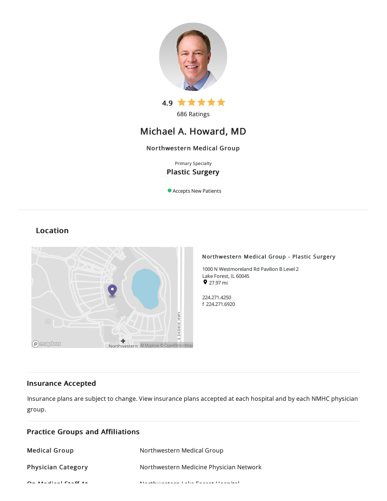

# Michael A. Howard, MD

## Northwestern Medical Group

Primary Specialty Plastic Surgery

Accepts New Patients

## Location



## Northwestern Medical Group - Plastic Surgery

1000 N Westmoreland Rd Pavilion B Level 2 Lake Forest, IL 60045  $927.97 \text{ mi}$ 

224.271.4250 f 224.271.6920

## Insurance Accepted

Insurance plans are subject to change. View [insurance](https://www.nm.org/patients-and-visitors/billing-and-insurance/insurance-information/accepted-insurance-plans) plans accepted at each hospital and by each NMHC physician group.

| <b>Practice Groups and Affiliations</b>                                                                                             |                                                        |
|-------------------------------------------------------------------------------------------------------------------------------------|--------------------------------------------------------|
| <b>Medical Group</b>                                                                                                                | Northwestern Medical Group                             |
| <b>Physician Category</b>                                                                                                           | Northwestern Medicine Physician Network                |
| $\mathbf{A}$ and $\mathbf{A}$ and $\mathbf{A}$ and $\mathbf{A}$ and $\mathbf{A}$ and $\mathbf{A}$ and $\mathbf{A}$ and $\mathbf{A}$ | Marcheller and a family of the France and Haraca Starl |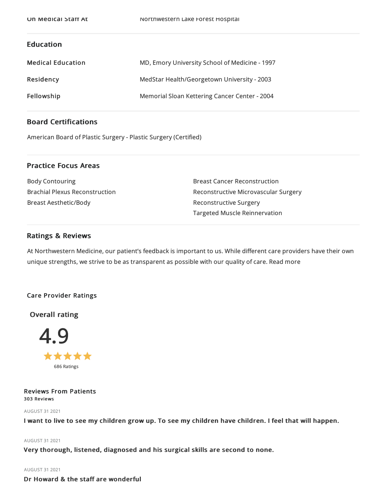## Education

| <b>Medical Education</b> | MD, Emory University School of Medicine - 1997 |
|--------------------------|------------------------------------------------|
| Residency                | MedStar Health/Georgetown University - 2003    |
| Fellowship               | Memorial Sloan Kettering Cancer Center - 2004  |

## Board Certifications

American Board of Plastic Surgery - Plastic Surgery (Certified)

## Practice Focus Areas

Body Contouring Brachial Plexus Reconstruction Breast Aesthetic/Body

Breast Cancer Reconstruction Reconstructive Microvascular Surgery Reconstructive Surgery Targeted Muscle Reinnervation

## Ratings & Reviews

At Northwestern Medicine, our patient's feedback is important to us. While different care providers have their own unique strengths, we strive to be as transparent as possible with our quality of care. Read more

## Care Provider Ratings

Overall rating



Reviews From Patients 303 Reviews

AUGUST 312021

I want to live to see my children grow up. To see my children have children. I feel that will happen.

#### AUGUST 312021

Very thorough, listened, diagnosed and his surgical skills are second to none.

### AUGUST 312021

Dr Howard & the staff are wonderful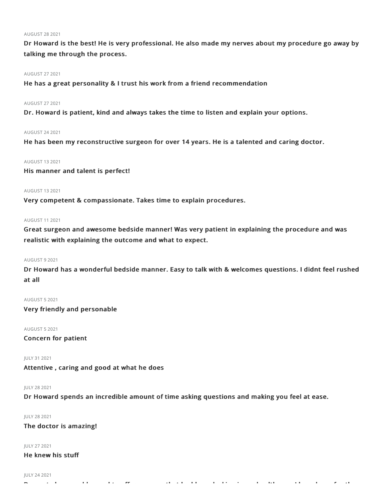#### AUGUST 282021

Dr Howard is the best! He is very professional. He also made my nerves about my procedure go away by talking me through the process.

#### AUGUST 272021

He has a great personality & I trust his work from a friend recommendation

### AUGUST 272021

Dr. Howard is patient, kind and always takes the time to listen and explain your options.

#### AUGUST 242021

He has been my reconstructive surgeon for over 14 years. He is a talented and caring doctor.

#### AUGUST 132021

His manner and talent is perfect!

#### AUGUST 132021

Very competent & compassionate. Takes time to explain procedures.

#### AUGUST 112021

Great surgeon and awesome bedside manner! Was very patient in explaining the procedure and was realistic with explaining the outcome and what to expect.

#### AUGUST 92021

Dr Howard has a wonderful bedside manner. Easy to talk with & welcomes questions. I didnt feel rushed at all

#### AUGUST 52021

Very friendly and personable

#### AUGUST 52021

Concern for patient

JULY 312021

Attentive , caring and good at what he does

#### JULY 282021

Dr Howard spends an incredible amount of time asking questions and making you feel at ease.

Dr went above and beyond to offer me care that had been lacking in my healthcare. I have hope for the

#### JULY 282021

The doctor is amazing!

### JULY 272021

He knew his stuff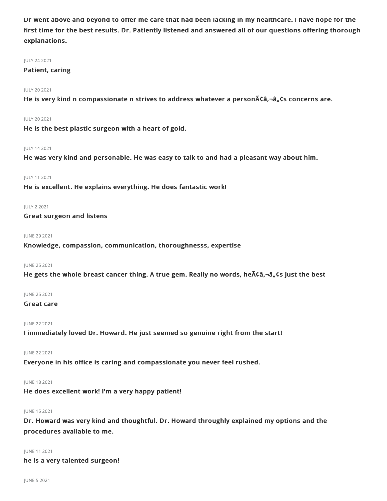Dr went above and beyond to offer me care that had been lacking in my healthcare. I have hope for the first time for the best results. Dr. Patiently listened and answered all of our questions offering thorough explanations.

#### JULY 242021

#### Patient, caring

### JULY 202021

He is very kind n compassionate n strives to address whatever a person $\tilde{\mathsf{ACa}}$ , $\neg \mathsf{a}_n$  $\mathsf{c}$ s concerns are.

#### JULY 202021

He is the best plastic surgeon with a heart of gold.

#### JULY 142021

He was very kind and personable. He was easy to talk to and had a pleasant way about him.

### JULY 112021

He is excellent. He explains everything. He does fantastic work!

#### JULY 22021

Great surgeon and listens

#### **IUNE 29 2021**

Knowledge, compassion, communication, thoroughnesss, expertise

#### JUNE 252021

He gets the whole breast cancer thing. A true gem. Really no words, he  $\tilde{A}$ câ,  $-\hat{a}$ , cs just the best

#### JUNE 252021

#### Great care

#### JUNE 22 2021

I immediately loved Dr. Howard. He just seemed so genuine right from the start!

#### JUNE 22 2021

Everyone in his office is caring and compassionate you never feel rushed.

## JUNE 182021

He does excellent work! I'm a very happy patient!

## JUNE 152021

Dr. Howard was very kind and thoughtful. Dr. Howard throughly explained my options and the procedures available to me.

## JUNE 112021

he is a very talented surgeon!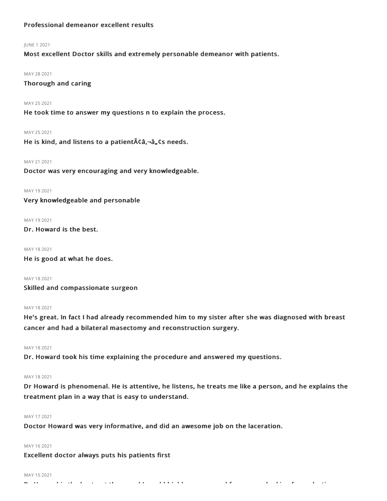## Professional demeanor excellent results

#### JUNE 12021

Most excellent Doctor skills and extremely personable demeanor with patients.

#### MAY 28 2021

Thorough and caring

#### MAY 252021

He took time to answer my questions n to explain the process.

#### MAY 252021

He is kind, and listens to a patient  $\tilde{A}$  ca,  $\tilde{a}$ ,  $\tilde{a}$  are needs.

#### MAY 21 2021

Doctor was very encouraging and very knowledgeable.

MAY 192021

## Very knowledgeable and personable

#### MAY 19 2021

Dr. Howard is the best.

MAY 182021 He is good at what he does.

MAY 182021 Skilled and compassionate surgeon

#### MAY 182021

He's great. In fact I had already recommended him to my sister after she was diagnosed with breast cancer and had a bilateral masectomy and reconstruction surgery.

MAY 182021

Dr. Howard took his time explaining the procedure and answered my questions.

## MAY 182021

Dr Howard is phenomenal. He is attentive, he listens, he treats me like a person, and he explains the treatment plan in a way that is easy to understand.

## MAY 172021

Doctor Howard was very informative, and did an awesome job on the laceration.

## MAY 162021

Excellent doctor always puts his patients first

#### MAY 15 2021

Dr Howard is the best out there and I would highly recommend for anyone looking for a plastic surgeon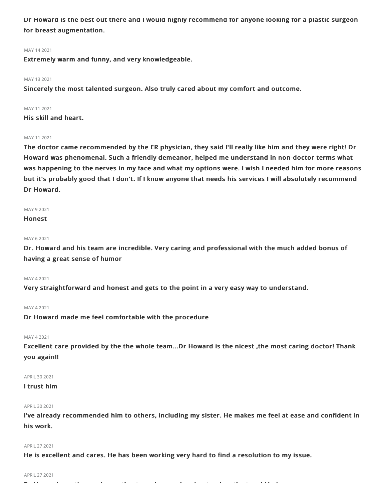Dr Howard is the best out there and I would highly recommend for anyone looking for a plastic surgeon for breast augmentation.

#### MAY 142021

Extremely warm and funny, and very knowledgeable.

#### MAY 132021

Sincerely the most talented surgeon. Also truly cared about my comfort and outcome.

#### MAY 112021

His skill and heart.

#### MAY 11 2021

The doctor came recommended by the ER physician, they said I'll really like him and they were right! Dr Howard was phenomenal. Such a friendly demeanor, helped me understand in non-doctor terms what was happening to the nerves in my face and what my options were. I wish I needed him for more reasons but it's probably good that I don't. If I know anyone that needs his services I will absolutely recommend Dr Howard.

### MAY 92021

Honest

#### MAY 62021

Dr. Howard and his team are incredible. Very caring and professional with the much added bonus of having a great sense of humor

#### MAY 42021

Very straightforward and honest and gets to the point in a very easy way to understand.

#### MAY 42021

Dr Howard made me feel comfortable with the procedure

#### MAY 42021

Excellent care provided by the the whole team...Dr Howard is the nicest ,the most caring doctor! Thank you again!!

#### APRIL 30 2021

## I trust him

#### APRIL 30 2021

I've already recommended him to others, including my sister. He makes me feel at ease and confident in his work.

#### APRIL272021

He is excellent and cares. He has been working very hard to find a resolution to my issue.

#### APRIL 27 2021

Dr Howard was thorough, wanting to make sure I understood, patient and kind.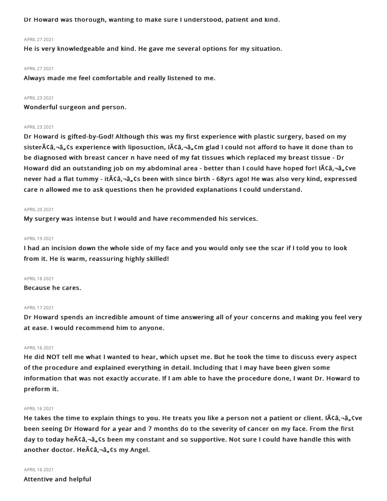Dr Howard was thorough, wanting to make sure I understood, patient and kind.

#### APRIL272021

He is very knowledgeable and kind. He gave me several options for my situation.

#### APRIL 27 2021

Always made me feel comfortable and really listened to me.

#### APRIL 23 2021

Wonderful surgeon and person.

#### APRIL232021

Dr Howard is gifted-by-God! Although this was my first experience with plastic surgery, based on my sister $\tilde{\bf A}$ ca, $\tilde{\bf G}$ , experience with liposuction,  $\tilde{\bf A}$  $\tilde{\bf C}$ , $\tilde{\bf A}$ , $\tilde{\bf G}$ ,  $\tilde{\bf H}$ ,  $\tilde{\bf G}$ ,  $\tilde{\bf H}$  and  $\tilde{\bf G}$  and  $\tilde{\bf G}$  and  $\tilde{\bf G}$  and  $\tilde{\bf G}$  and  $\tilde{\bf G}$  and  $\tilde{\bf G}$  and  $\til$ be diagnosed with breast cancer n have need of my fat tissues which replaced my breast tissue - Dr Howard did an outstanding job on my abdominal area - better than I could have hoped for! IA $\zeta$ a,  $\zeta$ ve never had a flat tummy - it $\tilde{A}$ câ,-â, cs been with since birth - 68yrs ago! He was also very kind, expressed care n allowed me to ask questions then he provided explanations I could understand.

#### APRIL202021

My surgery was intense but I would and have recommended his services.

#### APRIL 19 2021

I had an incision down the whole side of my face and you would only see the scar if I told you to look from it. He is warm, reassuring highly skilled!

#### APRIL182021

Because he cares.

#### APRIL172021

Dr Howard spends an incredible amount of time answering all of your concerns and making you feel very at ease. I would recommend him to anyone.

#### APRIL162021

He did NOT tell me what I wanted to hear, which upset me. But he took the time to discuss every aspect of the procedure and explained everything in detail. Including that I may have been given some information that was not exactly accurate. If I am able to have the procedure done, I want Dr. Howard to preform it.

#### APRIL 16 2021

He takes the time to explain things to you. He treats you like a person not a patient or client. I $\tilde{A}\tilde{c}\hat{a}$ ,  $\tilde{a}$ ,  $\tilde{c}$ ve been seeing Dr Howard for a year and 7 months do to the severity of cancer on my face. From the first day to today he $\tilde{A}$ câ, $\tilde{a}$ , $\tilde{c}$ s been my constant and so supportive. Not sure I could have handle this with another doctor. He $\tilde{A}\zeta\hat{a}$ ,  $\tilde{a}$ ,  $\zeta$ s my Angel.

#### APRIL162021

Attentive and helpful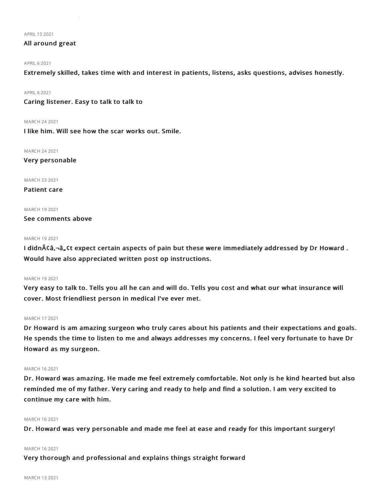APRIL152021

## All around great

#### **APRIL 6 2021**

Extremely skilled, takes time with and interest in patients, listens, asks questions, advises honestly.

APRIL62021

Caring listener. Easy to talk to talk to

MARCH 242021

I like him. Will see how the scar works out. Smile.

MARCH 242021

Very personable

MARCH 232021

Patient care

MARCH 192021

See comments above

#### MARCH 192021

I didn $\tilde{A}$ ¢â,¬â, $\zeta$ t expect certain aspects of pain but these were immediately addressed by Dr Howard . Would have also appreciated written post op instructions.

#### MARCH 192021

Very easy to talk to. Tells you all he can and will do. Tells you cost and what our what insurance will cover. Most friendliest person in medical I've ever met.

#### MARCH 172021

Dr Howard is am amazing surgeon who truly cares about his patients and their expectations and goals. He spends the time to listen to me and always addresses my concerns. I feel very fortunate to have Dr Howard as my surgeon.

#### MARCH 162021

Dr. Howard was amazing. He made me feel extremely comfortable. Not only is he kind hearted but also reminded me of my father. Very caring and ready to help and find a solution. I am very excited to continue my care with him.

#### MARCH 162021

Dr. Howard was very personable and made me feel at ease and ready for this important surgery!

#### MARCH 162021

Very thorough and professional and explains things straight forward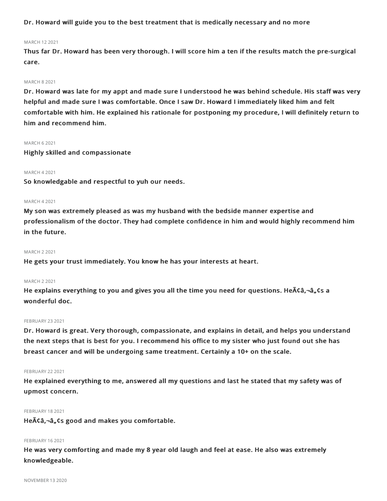Dr. Howard will guide you to the best treatment that is medically necessary and no more

#### MARCH 122021

Thus far Dr. Howard has been very thorough. I will score him a ten if the results match the pre-surgical care.

#### MARCH 82021

Dr. Howard was late for my appt and made sure I understood he was behind schedule. His staff was very helpful and made sure I was comfortable. Once I saw Dr. Howard I immediately liked him and felt comfortable with him. He explained his rationale for postponing my procedure, I will definitely return to him and recommend him.

### MARCH 62021

Highly skilled and compassionate

#### MARCH 42021

So knowledgable and respectful to yuh our needs.

#### MARCH 42021

My son was extremely pleased as was my husband with the bedside manner expertise and professionalism of the doctor. They had complete confidence in him and would highly recommend him in the future.

#### MARCH 22021

He gets your trust immediately. You know he has your interests at heart.

#### MARCH 22021

He explains everything to you and gives you all the time you need for questions. He  $\tilde{A}$   $\tilde{A}$   $\tilde{A}$   $\tilde{A}$  a,  $\tilde{C}$  a wonderful doc.

#### **FEBRUARY 23 2021**

Dr. Howard is great. Very thorough, compassionate, and explains in detail, and helps you understand the next steps that is best for you. I recommend his office to my sister who just found out she has breast cancer and will be undergoing same treatment. Certainly a 10+ on the scale.

#### **FEBRUARY 22 2021**

He explained everything to me, answered all my questions and last he stated that my safety was of upmost concern.

#### FEBRUARY 18 2021

He $\tilde{A}$ Ca,- $\hat{a}$ , Cs good and makes you comfortable.

#### FEBRUARY 162021

He was very comforting and made my 8 year old laugh and feel at ease. He also was extremely knowledgeable.